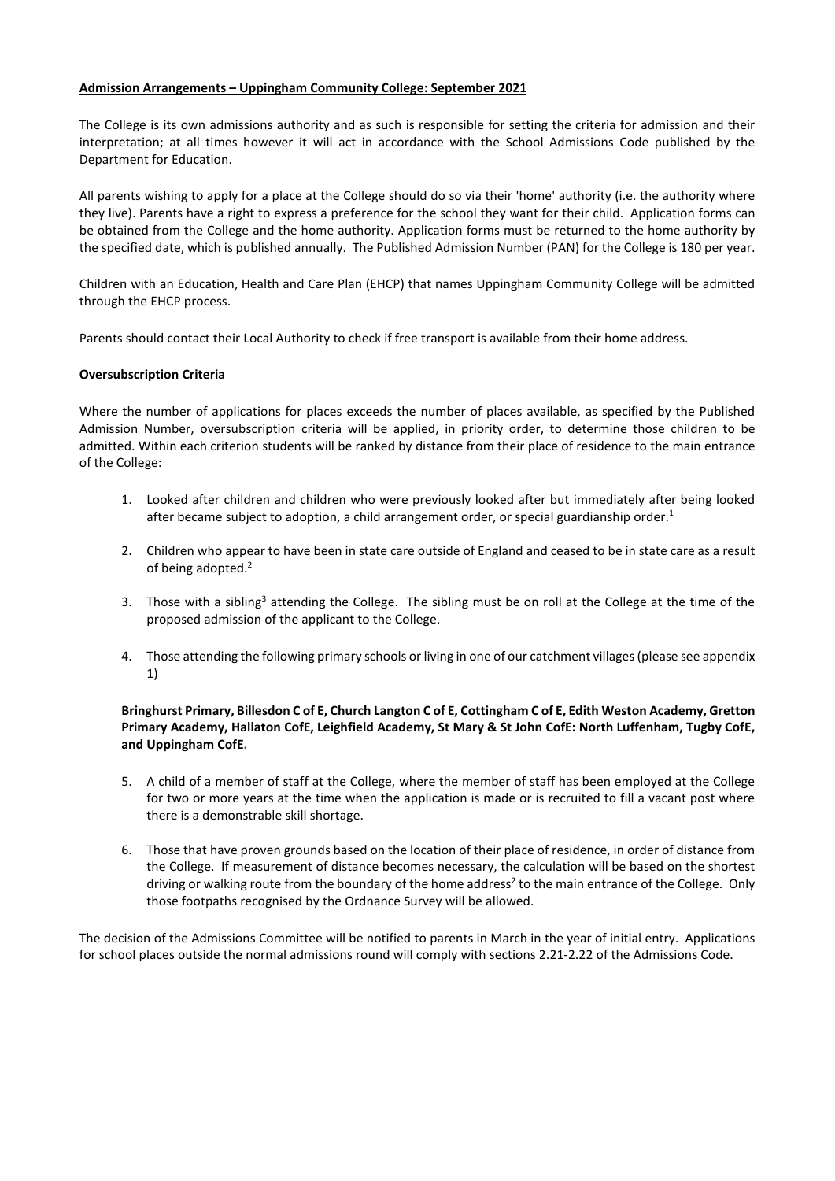## **Admission Arrangements – Uppingham Community College: September 2021**

The College is its own admissions authority and as such is responsible for setting the criteria for admission and their interpretation; at all times however it will act in accordance with the School Admissions Code published by the Department for Education.

All parents wishing to apply for a place at the College should do so via their 'home' authority (i.e. the authority where they live). Parents have a right to express a preference for the school they want for their child. Application forms can be obtained from the College and the home authority. Application forms must be returned to the home authority by the specified date, which is published annually. The Published Admission Number (PAN) for the College is 180 per year.

Children with an Education, Health and Care Plan (EHCP) that names Uppingham Community College will be admitted through the EHCP process.

Parents should contact their Local Authority to check if free transport is available from their home address.

## **Oversubscription Criteria**

Where the number of applications for places exceeds the number of places available, as specified by the Published Admission Number, oversubscription criteria will be applied, in priority order, to determine those children to be admitted. Within each criterion students will be ranked by distance from their place of residence to the main entrance of the College:

- 1. Looked after children and children who were previously looked after but immediately after being looked after became subject to adoption, a child arrangement order, or special guardianship order.<sup>1</sup>
- 2. Children who appear to have been in state care outside of England and ceased to be in state care as a result of being adopted.<sup>2</sup>
- 3. Those with a sibling<sup>3</sup> attending the College. The sibling must be on roll at the College at the time of the proposed admission of the applicant to the College.
- 4. Those attending the following primary schools or living in one of our catchment villages (please see appendix 1)

# **Bringhurst Primary, Billesdon C of E, Church Langton C of E, Cottingham C of E, Edith Weston Academy, Gretton Primary Academy, Hallaton CofE, Leighfield Academy, St Mary & St John CofE: North Luffenham, Tugby CofE, and Uppingham CofE.**

- 5. A child of a member of staff at the College, where the member of staff has been employed at the College for two or more years at the time when the application is made or is recruited to fill a vacant post where there is a demonstrable skill shortage.
- 6. Those that have proven grounds based on the location of their place of residence, in order of distance from the College. If measurement of distance becomes necessary, the calculation will be based on the shortest driving or walking route from the boundary of the home address<sup>2</sup> to the main entrance of the College. Only those footpaths recognised by the Ordnance Survey will be allowed.

The decision of the Admissions Committee will be notified to parents in March in the year of initial entry. Applications for school places outside the normal admissions round will comply with sections 2.21-2.22 of the Admissions Code.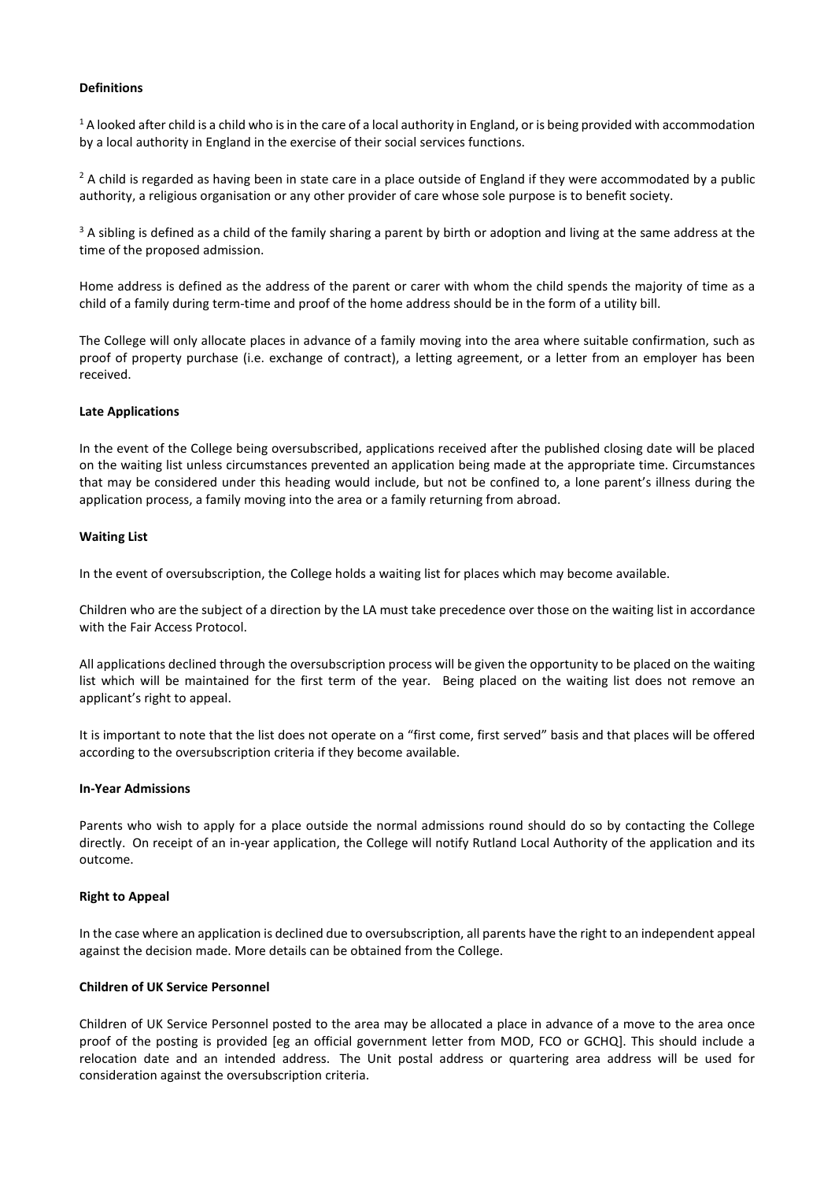## **Definitions**

<sup>1</sup> A looked after child is a child who is in the care of a local authority in England, or is being provided with accommodation by a local authority in England in the exercise of their social services functions.

 $2$  A child is regarded as having been in state care in a place outside of England if they were accommodated by a public authority, a religious organisation or any other provider of care whose sole purpose is to benefit society.

<sup>3</sup> A sibling is defined as a child of the family sharing a parent by birth or adoption and living at the same address at the time of the proposed admission.

Home address is defined as the address of the parent or carer with whom the child spends the majority of time as a child of a family during term-time and proof of the home address should be in the form of a utility bill.

The College will only allocate places in advance of a family moving into the area where suitable confirmation, such as proof of property purchase (i.e. exchange of contract), a letting agreement, or a letter from an employer has been received.

### **Late Applications**

In the event of the College being oversubscribed, applications received after the published closing date will be placed on the waiting list unless circumstances prevented an application being made at the appropriate time. Circumstances that may be considered under this heading would include, but not be confined to, a lone parent's illness during the application process, a family moving into the area or a family returning from abroad.

### **Waiting List**

In the event of oversubscription, the College holds a waiting list for places which may become available.

Children who are the subject of a direction by the LA must take precedence over those on the waiting list in accordance with the Fair Access Protocol.

All applications declined through the oversubscription process will be given the opportunity to be placed on the waiting list which will be maintained for the first term of the year. Being placed on the waiting list does not remove an applicant's right to appeal.

It is important to note that the list does not operate on a "first come, first served" basis and that places will be offered according to the oversubscription criteria if they become available.

### **In-Year Admissions**

Parents who wish to apply for a place outside the normal admissions round should do so by contacting the College directly. On receipt of an in-year application, the College will notify Rutland Local Authority of the application and its outcome.

#### **Right to Appeal**

In the case where an application is declined due to oversubscription, all parents have the right to an independent appeal against the decision made. More details can be obtained from the College.

#### **Children of UK Service Personnel**

Children of UK Service Personnel posted to the area may be allocated a place in advance of a move to the area once proof of the posting is provided [eg an official government letter from MOD, FCO or GCHQ]. This should include a relocation date and an intended address. The Unit postal address or quartering area address will be used for consideration against the oversubscription criteria.